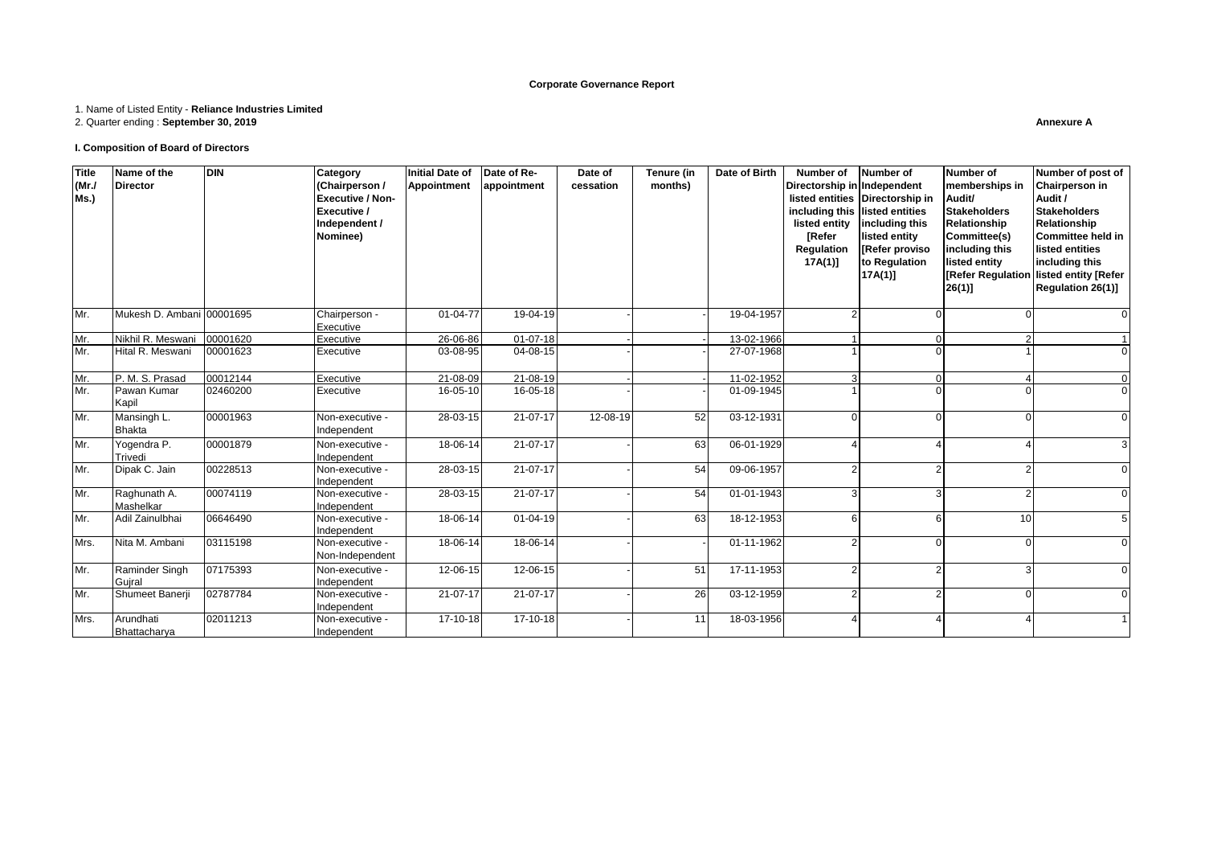#### **Corporate Governance Report**

#### 1. Name of Listed Entity - **Reliance Industries Limited**

2. Quarter ending : **September 30, 2019**

#### **I. Composition of Board of Directors**

| <b>Title</b><br>(MrJ)<br>Ms.) | Name of the<br><b>Director</b> | <b>DIN</b> | Category<br>(Chairperson /<br><b>Executive / Non-</b><br>Executive /<br>Independent /<br>Nominee) | Initial Date of<br><b>Appointment</b> | Date of Re-<br>appointment | Date of<br>cessation | Tenure (in<br>months) | Date of Birth | Number of Number of<br>Directorship in Independent<br>listed entity<br><b>[Refer</b><br>Regulation<br>$17A(1)$ ] | listed entities Directorship in<br>including this listed entities<br>including this<br>listed entity<br>[Refer proviso<br>to Regulation<br>$17A(1)$ ] | Number of<br>memberships in<br>Audit/<br><b>Stakeholders</b><br>Relationship<br>Committee(s)<br>including this<br>listed entity<br><b>Refer Regulation</b><br>$26(1)$ ] | Number of post of<br><b>Chairperson in</b><br>Audit /<br><b>Stakeholders</b><br>Relationship<br>Committee held in<br>listed entities<br>including this<br>listed entity [Refer<br>Regulation 26(1)] |
|-------------------------------|--------------------------------|------------|---------------------------------------------------------------------------------------------------|---------------------------------------|----------------------------|----------------------|-----------------------|---------------|------------------------------------------------------------------------------------------------------------------|-------------------------------------------------------------------------------------------------------------------------------------------------------|-------------------------------------------------------------------------------------------------------------------------------------------------------------------------|-----------------------------------------------------------------------------------------------------------------------------------------------------------------------------------------------------|
| Mr.                           | Mukesh D. Ambani               | 00001695   | Chairperson -<br>Executive                                                                        | $01 - 04 - 77$                        | 19-04-19                   |                      |                       | 19-04-1957    |                                                                                                                  | $\Omega$                                                                                                                                              |                                                                                                                                                                         |                                                                                                                                                                                                     |
| Mr.                           | Nikhil R. Meswani              | 00001620   | Executive                                                                                         | 26-06-86                              | $01 - 07 - 18$             |                      |                       | 13-02-1966    |                                                                                                                  | $\Omega$                                                                                                                                              |                                                                                                                                                                         |                                                                                                                                                                                                     |
| Mr.                           | Hital R. Meswani               | 00001623   | Executive                                                                                         | 03-08-95                              | $04 - 08 - 15$             |                      |                       | 27-07-1968    |                                                                                                                  | $\Omega$                                                                                                                                              |                                                                                                                                                                         |                                                                                                                                                                                                     |
| Mr.                           | P. M. S. Prasad                | 00012144   | Executive                                                                                         | 21-08-09                              | 21-08-19                   |                      |                       | 11-02-1952    |                                                                                                                  | $\Omega$                                                                                                                                              |                                                                                                                                                                         |                                                                                                                                                                                                     |
| Mr.                           | Pawan Kumar<br>Kapil           | 02460200   | Executive                                                                                         | 16-05-10                              | 16-05-18                   |                      |                       | 01-09-1945    |                                                                                                                  | U                                                                                                                                                     |                                                                                                                                                                         |                                                                                                                                                                                                     |
| Mr.                           | Mansingh L.<br><b>Bhakta</b>   | 00001963   | Non-executive -<br>Independent                                                                    | 28-03-15                              | 21-07-17                   | 12-08-19             | 52                    | 03-12-1931    | U                                                                                                                | $\Omega$                                                                                                                                              | $\Omega$                                                                                                                                                                |                                                                                                                                                                                                     |
| Mr.                           | Yogendra P.<br>Trivedi         | 00001879   | Non-executive -<br>Independent                                                                    | 18-06-14                              | 21-07-17                   |                      | 63                    | 06-01-1929    |                                                                                                                  |                                                                                                                                                       |                                                                                                                                                                         |                                                                                                                                                                                                     |
| Mr.                           | Dipak C. Jain                  | 00228513   | Non-executive -<br>Independent                                                                    | 28-03-15                              | 21-07-17                   |                      | 54                    | 09-06-1957    |                                                                                                                  |                                                                                                                                                       |                                                                                                                                                                         |                                                                                                                                                                                                     |
| Mr.                           | Raghunath A.<br>Mashelkar      | 00074119   | Non-executive -<br>Independent                                                                    | 28-03-15                              | 21-07-17                   |                      | 54                    | 01-01-1943    |                                                                                                                  | $\overline{3}$                                                                                                                                        |                                                                                                                                                                         |                                                                                                                                                                                                     |
| Mr.                           | Adil Zainulbhai                | 06646490   | Non-executive -<br>Independent                                                                    | 18-06-14                              | $01 - 04 - 19$             |                      | 63                    | 18-12-1953    | 6                                                                                                                | 6                                                                                                                                                     | 10                                                                                                                                                                      |                                                                                                                                                                                                     |
| Mrs.                          | Nita M. Ambani                 | 03115198   | Non-executive -<br>Non-Independent                                                                | 18-06-14                              | 18-06-14                   |                      |                       | 01-11-1962    |                                                                                                                  | $\Omega$                                                                                                                                              | $\Omega$                                                                                                                                                                |                                                                                                                                                                                                     |
| Mr.                           | Raminder Singh<br>Guiral       | 07175393   | Non-executive -<br>Independent                                                                    | 12-06-15                              | 12-06-15                   |                      | 51                    | 17-11-1953    |                                                                                                                  | $\overline{2}$                                                                                                                                        |                                                                                                                                                                         |                                                                                                                                                                                                     |
| Mr.                           | Shumeet Banerji                | 02787784   | Non-executive -<br>Independent                                                                    | 21-07-17                              | 21-07-17                   |                      | 26                    | 03-12-1959    |                                                                                                                  | $\overline{2}$                                                                                                                                        | $\Omega$                                                                                                                                                                |                                                                                                                                                                                                     |
| Mrs.                          | Arundhati<br>Bhattacharya      | 02011213   | Non-executive -<br>Independent                                                                    | 17-10-18                              | 17-10-18                   |                      | 11                    | 18-03-1956    |                                                                                                                  |                                                                                                                                                       |                                                                                                                                                                         |                                                                                                                                                                                                     |

**Annexure A**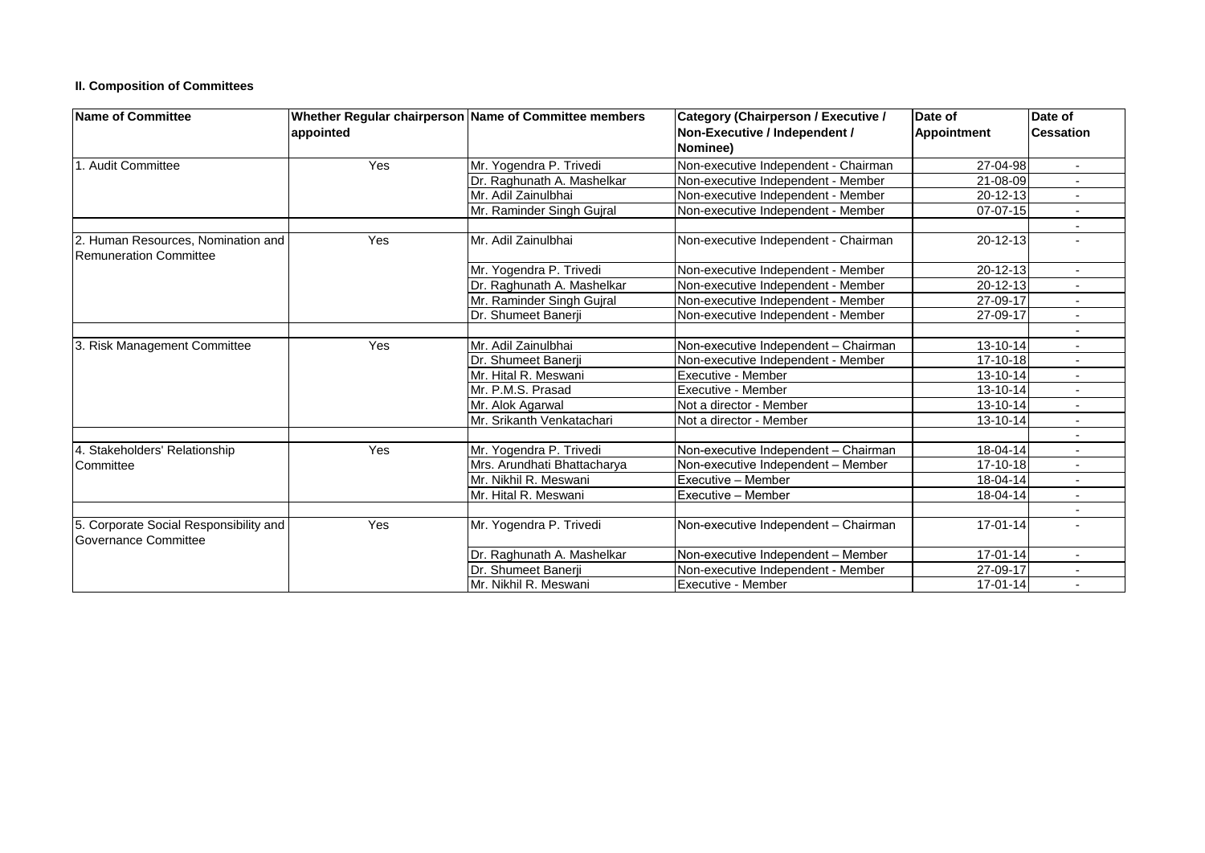# **II. Composition of Committees**

| <b>Name of Committee</b>                                       | appointed | Whether Regular chairperson Name of Committee members | <b>Category (Chairperson / Executive /</b><br>Non-Executive / Independent / | Date of<br>Appointment | Date of<br><b>Cessation</b> |
|----------------------------------------------------------------|-----------|-------------------------------------------------------|-----------------------------------------------------------------------------|------------------------|-----------------------------|
|                                                                |           |                                                       | Nominee)                                                                    |                        |                             |
| . Audit Committee                                              | Yes       | Mr. Yogendra P. Trivedi                               | Non-executive Independent - Chairman                                        | 27-04-98               | $\overline{\phantom{0}}$    |
|                                                                |           | Dr. Raghunath A. Mashelkar                            | Non-executive Independent - Member                                          | 21-08-09               |                             |
|                                                                |           | Mr. Adil Zainulbhai                                   | Non-executive Independent - Member                                          | 20-12-13               |                             |
|                                                                |           | Mr. Raminder Singh Gujral                             | Non-executive Independent - Member                                          | 07-07-15               |                             |
|                                                                |           |                                                       |                                                                             |                        |                             |
| 2. Human Resources, Nomination and<br>Remuneration Committee   | Yes       | Mr. Adil Zainulbhai                                   | Non-executive Independent - Chairman                                        | $20 - 12 - 13$         |                             |
|                                                                |           | Mr. Yogendra P. Trivedi                               | Non-executive Independent - Member                                          | $20 - 12 - 13$         |                             |
|                                                                |           | Dr. Raghunath A. Mashelkar                            | Non-executive Independent - Member                                          | 20-12-13               |                             |
|                                                                |           | Mr. Raminder Singh Guiral                             | Non-executive Independent - Member                                          | 27-09-17               |                             |
|                                                                |           | Dr. Shumeet Banerii                                   | Non-executive Independent - Member                                          | 27-09-17               |                             |
|                                                                |           |                                                       |                                                                             |                        | $\overline{\phantom{a}}$    |
| 3. Risk Management Committee                                   | Yes       | Mr. Adil Zainulbhai                                   | Non-executive Independent - Chairman                                        | 13-10-14               |                             |
|                                                                |           | Dr. Shumeet Banerii                                   | Non-executive Independent - Member                                          | 17-10-18               |                             |
|                                                                |           | Mr. Hital R. Meswani                                  | Executive - Member                                                          | 13-10-14               |                             |
|                                                                |           | Mr. P.M.S. Prasad                                     | Executive - Member                                                          | 13-10-14               |                             |
|                                                                |           | Mr. Alok Agarwal                                      | Not a director - Member                                                     | 13-10-14               |                             |
|                                                                |           | Mr. Srikanth Venkatachari                             | Not a director - Member                                                     | 13-10-14               | $\overline{\phantom{a}}$    |
|                                                                |           |                                                       |                                                                             |                        |                             |
| 4. Stakeholders' Relationship                                  | Yes       | Mr. Yogendra P. Trivedi                               | Non-executive Independent - Chairman                                        | 18-04-14               |                             |
| Committee                                                      |           | Mrs. Arundhati Bhattacharva                           | Non-executive Independent - Member                                          | 17-10-18               |                             |
|                                                                |           | Mr. Nikhil R. Meswani                                 | Executive - Member                                                          | 18-04-14               |                             |
|                                                                |           | Mr. Hital R. Meswani                                  | Executive - Member                                                          | 18-04-14               | $\blacksquare$              |
|                                                                |           |                                                       |                                                                             |                        |                             |
| 5. Corporate Social Responsibility and<br>Governance Committee | Yes       | Mr. Yogendra P. Trivedi                               | Non-executive Independent - Chairman                                        | 17-01-14               |                             |
|                                                                |           | Dr. Raghunath A. Mashelkar                            | Non-executive Independent - Member                                          | 17-01-14               |                             |
|                                                                |           | Dr. Shumeet Banerii                                   | Non-executive Independent - Member                                          | 27-09-17               | $\overline{\phantom{a}}$    |
|                                                                |           | Mr. Nikhil R. Meswani                                 | Executive - Member                                                          | $17 - 01 - 14$         |                             |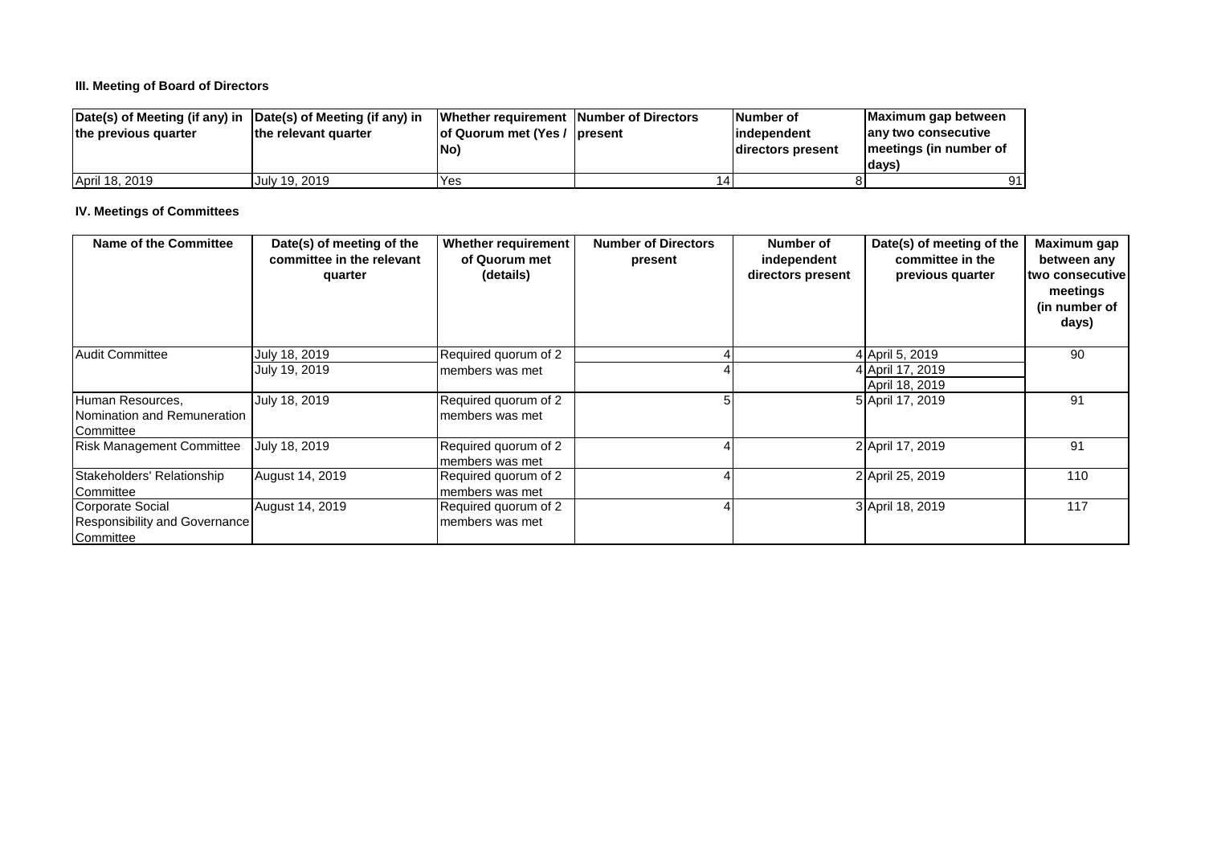# **III. Meeting of Board of Directors**

| Date(s) of Meeting (if any) in Date(s) of Meeting (if any) in |                      | Whether requirement Number of Directors | <b>Number of</b>  | Maximum gap between    |
|---------------------------------------------------------------|----------------------|-----------------------------------------|-------------------|------------------------|
| the previous quarter                                          | the relevant quarter | of Quorum met (Yes / present            | lindependent      | any two consecutive    |
|                                                               |                      | No)                                     | directors present | meetings (in number of |
|                                                               |                      |                                         |                   | <b>days</b>            |
| April 18, 2019                                                | July 19, 2019        | Yes                                     |                   |                        |

# **IV. Meetings of Committees**

| Name of the Committee            | Date(s) of meeting of the<br>committee in the relevant<br>quarter | <b>Whether requirement</b><br>of Quorum met<br>(details) | <b>Number of Directors</b><br>present | Number of<br>independent<br>directors present | Date(s) of meeting of the<br>committee in the<br>previous quarter | Maximum gap<br>between any<br><b>two consecutive</b><br>meetings<br>(in number of<br>days) |
|----------------------------------|-------------------------------------------------------------------|----------------------------------------------------------|---------------------------------------|-----------------------------------------------|-------------------------------------------------------------------|--------------------------------------------------------------------------------------------|
| <b>Audit Committee</b>           | July 18, 2019                                                     | Required quorum of 2                                     |                                       |                                               | 4 April 5, 2019                                                   | 90                                                                                         |
|                                  | July 19, 2019                                                     | members was met                                          |                                       |                                               | 4 April 17, 2019                                                  |                                                                                            |
|                                  |                                                                   |                                                          |                                       |                                               | April 18, 2019                                                    |                                                                                            |
| Human Resources,                 | July 18, 2019                                                     | Required quorum of 2                                     |                                       |                                               | 5 April 17, 2019                                                  | 91                                                                                         |
| Nomination and Remuneration      |                                                                   | members was met                                          |                                       |                                               |                                                                   |                                                                                            |
| Committee                        |                                                                   |                                                          |                                       |                                               |                                                                   |                                                                                            |
| <b>Risk Management Committee</b> | July 18, 2019                                                     | Required quorum of 2                                     |                                       |                                               | 2 April 17, 2019                                                  | 91                                                                                         |
|                                  |                                                                   | members was met                                          |                                       |                                               |                                                                   |                                                                                            |
| Stakeholders' Relationship       | August 14, 2019                                                   | Required quorum of 2                                     |                                       |                                               | 2 April 25, 2019                                                  | 110                                                                                        |
| Committee                        |                                                                   | members was met                                          |                                       |                                               |                                                                   |                                                                                            |
| Corporate Social                 | August 14, 2019                                                   | Required quorum of 2                                     |                                       |                                               | 3 April 18, 2019                                                  | 117                                                                                        |
| Responsibility and Governance    |                                                                   | members was met                                          |                                       |                                               |                                                                   |                                                                                            |
| Committee                        |                                                                   |                                                          |                                       |                                               |                                                                   |                                                                                            |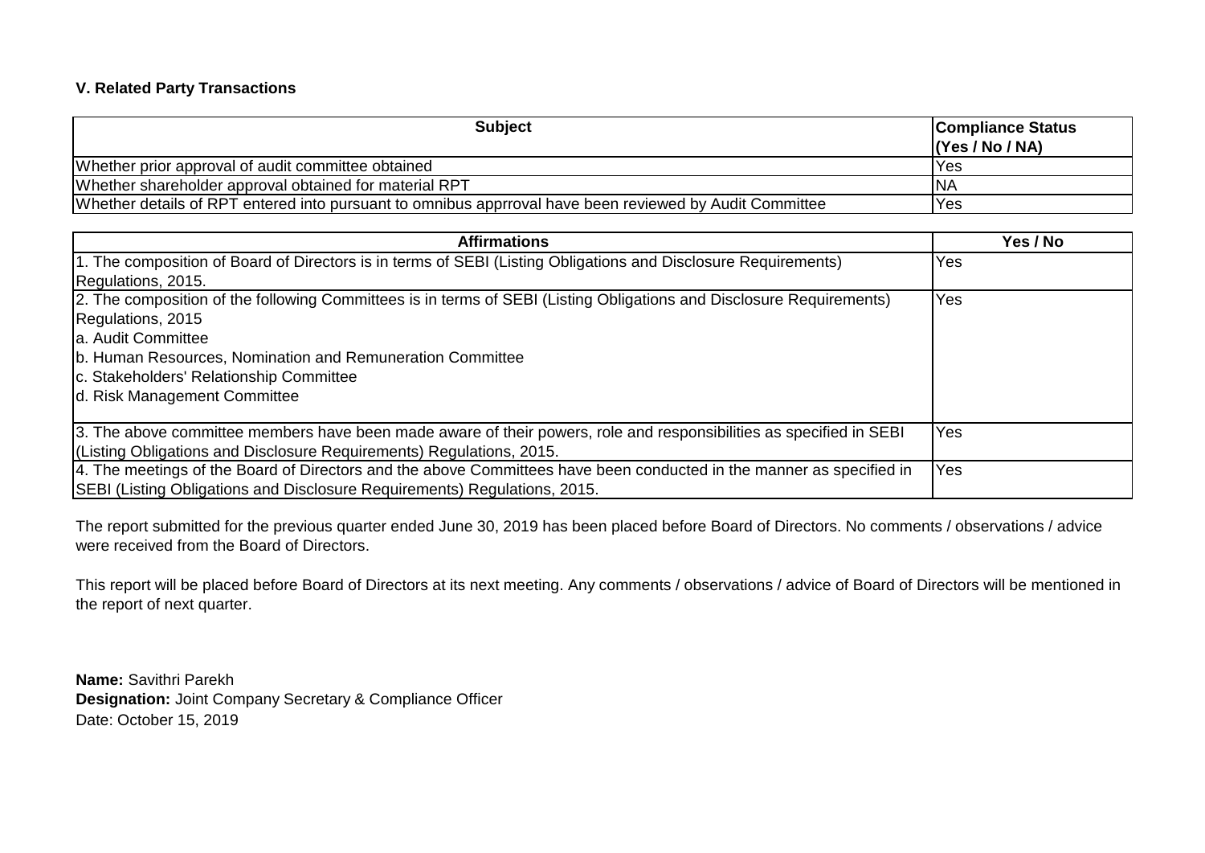# **V. Related Party Transactions**

| <b>Subject</b>                                                                                          | <b>Compliance Status</b><br>(Yes / No / NA) |
|---------------------------------------------------------------------------------------------------------|---------------------------------------------|
| Whether prior approval of audit committee obtained                                                      | Yes                                         |
| Whether shareholder approval obtained for material RPT                                                  | <b>INA</b>                                  |
| Whether details of RPT entered into pursuant to omnibus apprroval have been reviewed by Audit Committee | Yes                                         |

| <b>Affirmations</b>                                                                                                   | Yes / No   |
|-----------------------------------------------------------------------------------------------------------------------|------------|
| 1. The composition of Board of Directors is in terms of SEBI (Listing Obligations and Disclosure Requirements)        | Yes        |
| Regulations, 2015.                                                                                                    |            |
| [2. The composition of the following Committees is in terms of SEBI (Listing Obligations and Disclosure Requirements) | Yes        |
| Regulations, 2015                                                                                                     |            |
| la. Audit Committee                                                                                                   |            |
| b. Human Resources, Nomination and Remuneration Committee                                                             |            |
| c. Stakeholders' Relationship Committee                                                                               |            |
| d. Risk Management Committee                                                                                          |            |
|                                                                                                                       |            |
| 3. The above committee members have been made aware of their powers, role and responsibilities as specified in SEBI   | Yes        |
| (Listing Obligations and Disclosure Requirements) Regulations, 2015.                                                  |            |
| 4. The meetings of the Board of Directors and the above Committees have been conducted in the manner as specified in  | <b>Yes</b> |
| SEBI (Listing Obligations and Disclosure Requirements) Regulations, 2015.                                             |            |

The report submitted for the previous quarter ended June 30, 2019 has been placed before Board of Directors. No comments / observations / advice were received from the Board of Directors.

This report will be placed before Board of Directors at its next meeting. Any comments / observations / advice of Board of Directors will be mentioned in the report of next quarter.

**Name:** Savithri Parekh **Designation:** Joint Company Secretary & Compliance Officer Date: October 15, 2019